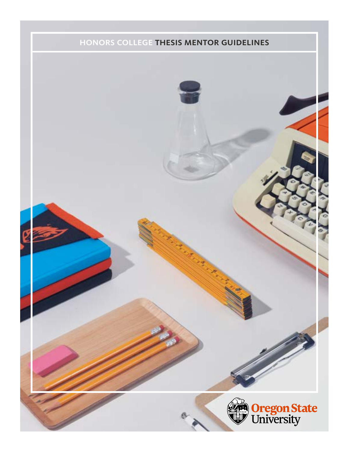### honors college thesis mentor guidelines

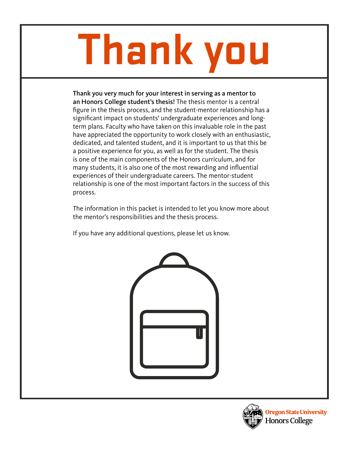# **Thank you**

Thank you very much for your interest in serving as a mentor to an Honors College student's thesis! The thesis mentor is a central figure in the thesis process, and the student-mentor relationship has a significant impact on students' undergraduate experiences and longterm plans. Faculty who have taken on this invaluable role in the past have appreciated the opportunity to work closely with an enthusiastic, dedicated, and talented student, and it is important to us that this be a positive experience for you, as well as for the student. The thesis is one of the main components of the Honors curriculum, and for many students, it is also one of the most rewarding and influential experiences of their undergraduate careers. The mentor-student relationship is one of the most important factors in the success of this process.

The information in this packet is intended to let you know more about the mentor's responsibilities and the thesis process.

If you have any additional questions, please let us know.



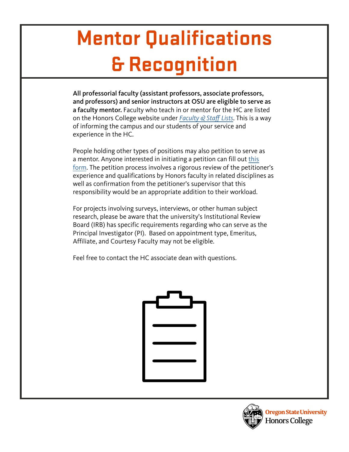## **Mentor Qualifications & Recognition**

All professorial faculty (assistant professors, associate professors, and professors) and senior instructors at OSU are eligible to serve as a faculty mentor. Faculty who teach in or mentor for the HC are listed on the Honors College website under Faculty  $\mathcal Q$  Staff [Lists](https://honors.oregonstate.edu/honors-college-faculty). This is a way of informing the campus and our students of your service and experience in the HC.

People holding other types of positions may also petition to serve as a mentor. Anyone interested in initiating a petition can fill out [this](https://honors.oregonstate.edu/webform/petition-honors-teaching-mentoring )  [form.](https://honors.oregonstate.edu/webform/petition-honors-teaching-mentoring ) The petition process involves a rigorous review of the petitioner's experience and qualifications by Honors faculty in related disciplines as well as confirmation from the petitioner's supervisor that this responsibility would be an appropriate addition to their workload.

For projects involving surveys, interviews, or other human subject research, please be aware that the university's Institutional Review Board (IRB) has specific requirements regarding who can serve as the Principal Investigator (PI). Based on appointment type, Emeritus, Affiliate, and Courtesy Faculty may not be eligible.

Feel free to contact the HC associate dean with questions.



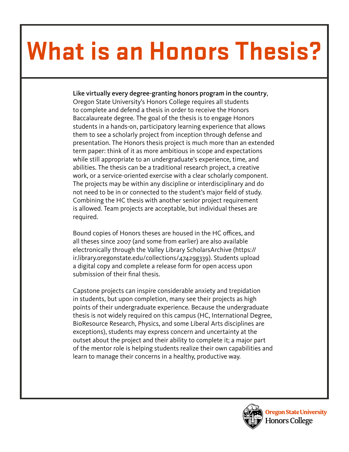# **What is an Honors Thesis?**

### Like virtually every degree-granting honors program in the country,

Oregon State University's Honors College requires all students to complete and defend a thesis in order to receive the Honors Baccalaureate degree. The goal of the thesis is to engage Honors students in a hands-on, participatory learning experience that allows them to see a scholarly project from inception through defense and presentation. The Honors thesis project is much more than an extended term paper: think of it as more ambitious in scope and expectations while still appropriate to an undergraduate's experience, time, and abilities. The thesis can be a traditional research project, a creative work, or a service-oriented exercise with a clear scholarly component. The projects may be within any discipline or interdisciplinary and do not need to be in or connected to the student's major field of study. Combining the HC thesis with another senior project requirement is allowed. Team projects are acceptable, but individual theses are required.

Bound copies of Honors theses are housed in the HC offices, and all theses since 2007 (and some from earlier) are also available electronically through the Valley Library ScholarsArchive (https:// ir.library.oregonstate.edu/collections/47429g339). Students upload a digital copy and complete a release form for open access upon submission of their final thesis.

Capstone projects can inspire considerable anxiety and trepidation in students, but upon completion, many see their projects as high points of their undergraduate experience. Because the undergraduate thesis is not widely required on this campus (HC, International Degree, BioResource Research, Physics, and some Liberal Arts disciplines are exceptions), students may express concern and uncertainty at the outset about the project and their ability to complete it; a major part of the mentor role is helping students realize their own capabilities and learn to manage their concerns in a healthy, productive way.

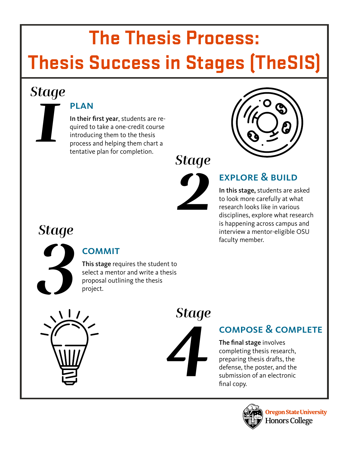### **The Thesis Process: Thesis Success in Stages (TheSIS)**

# *1 Stage*

### **PLAN**

In their first year, students are required to take a one-credit course introducing them to the thesis process and helping them chart a tentative plan for completion.





### explore & build

In this stage, students are asked to look more carefully at what research looks like in various disciplines, explore what research is happening across campus and interview a mentor-eligible OSU faculty member.



### **COMMIT**

This stage requires the student to select a mentor and write a thesis proposal outlining the thesis project.





### compose & complete

The final stage involves completing thesis research, preparing thesis drafts, the defense, the poster, and the submission of an electronic final copy.

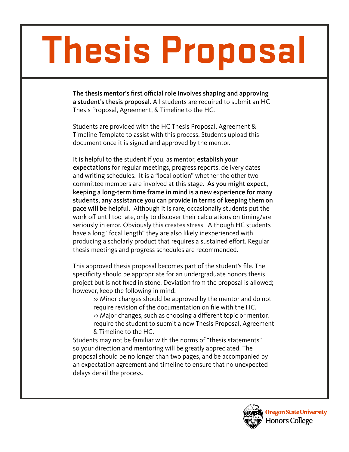# **Thesis Proposal**

The thesis mentor's first official role involves shaping and approving a student's thesis proposal. All students are required to submit an HC Thesis Proposal, Agreement, & Timeline to the HC.

Students are provided with the HC Thesis Proposal, Agreement & Timeline Template to assist with this process. Students upload this document once it is signed and approved by the mentor.

It is helpful to the student if you, as mentor, establish your expectations for regular meetings, progress reports, delivery dates and writing schedules. It is a "local option" whether the other two committee members are involved at this stage. As you might expect, keeping a long-term time frame in mind is a new experience for many students, any assistance you can provide in terms of keeping them on pace will be helpful. Although it is rare, occasionally students put the work off until too late, only to discover their calculations on timing/are seriously in error. Obviously this creates stress. Although HC students have a long "focal length" they are also likely inexperienced with producing a scholarly product that requires a sustained effort. Regular thesis meetings and progress schedules are recommended.

This approved thesis proposal becomes part of the student's file. The specificity should be appropriate for an undergraduate honors thesis project but is not fixed in stone. Deviation from the proposal is allowed; however, keep the following in mind:

>> Minor changes should be approved by the mentor and do not require revision of the documentation on file with the HC. >> Major changes, such as choosing a different topic or mentor, require the student to submit a new Thesis Proposal, Agreement & Timeline to the HC.

Students may not be familiar with the norms of "thesis statements" so your direction and mentoring will be greatly appreciated. The proposal should be no longer than two pages, and be accompanied by an expectation agreement and timeline to ensure that no unexpected delays derail the process.

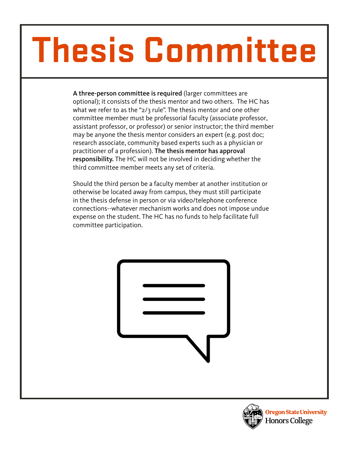# **Thesis Committee**

A three-person committee is required (larger committees are optional); it consists of the thesis mentor and two others. The HC has what we refer to as the "2/3 rule". The thesis mentor and one other committee member must be professorial faculty (associate professor, assistant professor, or professor) or senior instructor; the third member may be anyone the thesis mentor considers an expert (e.g. post doc; research associate, community based experts such as a physician or practitioner of a profession). The thesis mentor has approval responsibility. The HC will not be involved in deciding whether the third committee member meets any set of criteria.

Should the third person be a faculty member at another institution or otherwise be located away from campus, they must still participate in the thesis defense in person or via video/telephone conference connections--whatever mechanism works and does not impose undue expense on the student. The HC has no funds to help facilitate full committee participation.



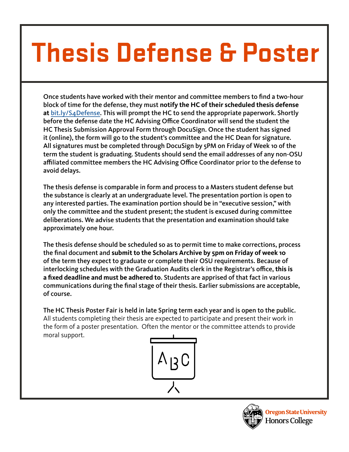# **Thesis Defense & Poster**

Once students have worked with their mentor and committee members to find a two-hour block of time for the defense, they must **notify the HC of their scheduled thesis defense at** [bit.ly/S4Defense.](http://bit.ly/S4Defense) This will prompt the HC to send the appropriate paperwork. Shortly before the defense date the HC Advising Office Coordinator will send the student the HC Thesis Submission Approval Form through DocuSign. Once the student has signed it (online), the form will go to the student's committee and the HC Dean for signature. All signatures must be completed through DocuSign by 5PM on Friday of Week 10 of the term the student is graduating. Students should send the email addresses of any non-OSU affiliated committee members the HC Advising Office Coordinator prior to the defense to avoid delays.

The thesis defense is comparable in form and process to a Masters student defense but the substance is clearly at an undergraduate level. The presentation portion is open to any interested parties. The examination portion should be in "executive session," with only the committee and the student present; the student is excused during committee deliberations. We advise students that the presentation and examination should take approximately one hour.

The thesis defense should be scheduled so as to permit time to make corrections, process the final document and **submit to the Scholars Archive by 5pm on Friday of week 10** of the term they expect to graduate or complete their OSU requirements. Because of interlocking schedules with the Graduation Audits clerk in the Registrar's office, **this is a fixed deadline and must be adhered to**. Students are apprised of that fact in various communications during the final stage of their thesis. Earlier submissions are acceptable, of course.

The HC Thesis Poster Fair is held in late Spring term each year and is open to the public. All students completing their thesis are expected to participate and present their work in the form of a poster presentation. Often the mentor or the committee attends to provide moral support.



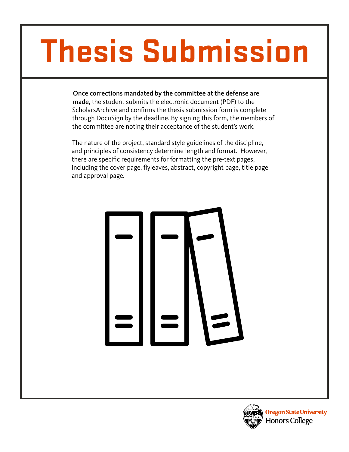# **Thesis Submission**

Once corrections mandated by the committee at the defense are made, the student submits the electronic document (PDF) to the ScholarsArchive and confirms the thesis submission form is complete through DocuSign by the deadline. By signing this form, the members of the committee are noting their acceptance of the student's work.

The nature of the project, standard style guidelines of the discipline, and principles of consistency determine length and format. However, there are specific requirements for formatting the pre-text pages, including the cover page, flyleaves, abstract, copyright page, title page and approval page.